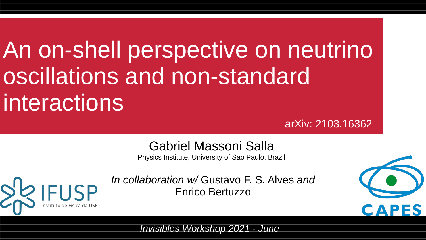# An on-shell perspective on neutrino oscillations and non-standard interactions

arXiv: 2103.16362

#### Gabriel Massoni Salla

Physics Institute, University of Sao Paulo, Brazil



*In collaboration w/* Gustavo F. S. Alves *and* Enrico Bertuzzo



*Invisibles Workshop 2021 - June*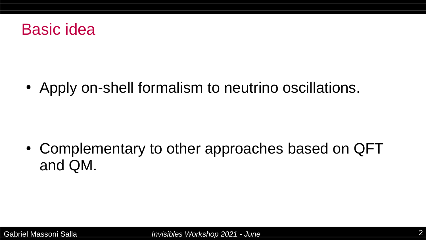

• Apply on-shell formalism to neutrino oscillations.

• Complementary to other approaches based on QFT and QM.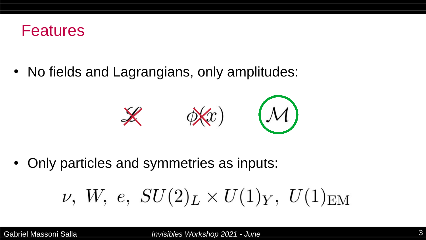

• No fields and Lagrangians, only amplitudes:



• Only particles and symmetries as inputs:

$$
\nu,~W,~e,~SU(2)_L\times U(1)_Y,~U(1)_{\rm EM}
$$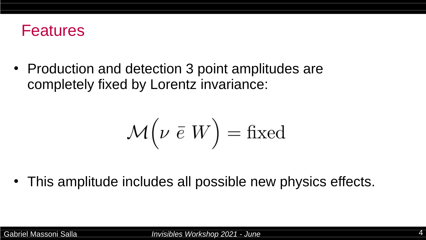

• Production and detection 3 point amplitudes are completely fixed by Lorentz invariance:

$$
\mathcal{M}\left(\nu\;\bar{e}\;W\right)=\text{fixed}
$$

• This amplitude includes all possible new physics effects.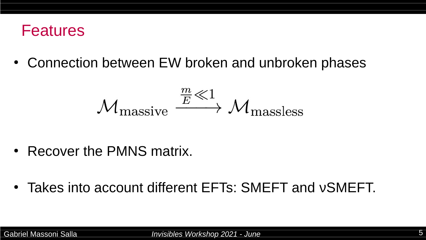#### Features

• Connection between EW broken and unbroken phases

$$
{\mathcal M}_{\rm massive} \stackrel{\frac{m}{E} \ll 1}{\longrightarrow} {\mathcal M}_{\rm massless}
$$

- Recover the PMNS matrix.
- Takes into account different EFTs: SMEFT and  $v$ SMEFT.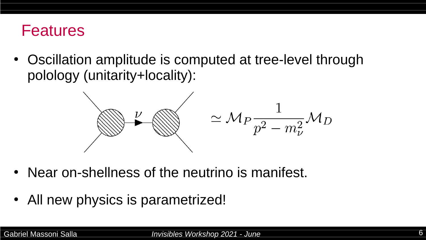### Features

• Oscillation amplitude is computed at tree-level through polology (unitarity+locality):



- Near on-shellness of the neutrino is manifest.
- All new physics is parametrized!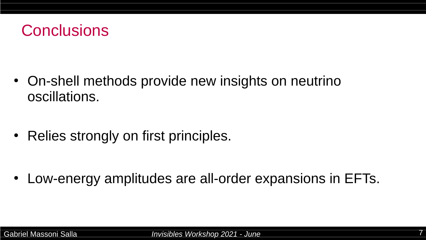

• On-shell methods provide new insights on neutrino oscillations.

• Relies strongly on first principles.

• Low-energy amplitudes are all-order expansions in EFTs.